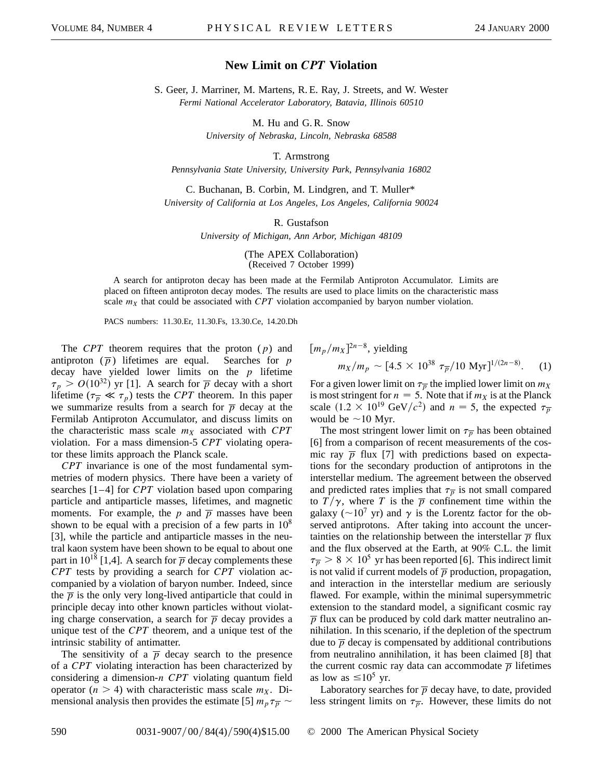## **New Limit on** *CPT* **Violation**

S. Geer, J. Marriner, M. Martens, R. E. Ray, J. Streets, and W. Wester *Fermi National Accelerator Laboratory, Batavia, Illinois 60510*

> M. Hu and G. R. Snow *University of Nebraska, Lincoln, Nebraska 68588*

> > T. Armstrong

*Pennsylvania State University, University Park, Pennsylvania 16802*

C. Buchanan, B. Corbin, M. Lindgren, and T. Muller\* *University of California at Los Angeles, Los Angeles, California 90024*

R. Gustafson

*University of Michigan, Ann Arbor, Michigan 48109*

(The APEX Collaboration) (Received 7 October 1999)

A search for antiproton decay has been made at the Fermilab Antiproton Accumulator. Limits are placed on fifteen antiproton decay modes. The results are used to place limits on the characteristic mass scale  $m<sub>X</sub>$  that could be associated with *CPT* violation accompanied by baryon number violation.

PACS numbers: 11.30.Er, 11.30.Fs, 13.30.Ce, 14.20.Dh

The *CPT* theorem requires that the proton (*p*) and antiproton  $(\overline{p})$  lifetimes are equal. Searches for *p* decay have yielded lower limits on the *p* lifetime  $\tau_p > O(10^{32})$  yr [1]. A search for  $\overline{p}$  decay with a short lifetime  $(\tau_{\overline{p}} \ll \tau_p)$  tests the *CPT* theorem. In this paper we summarize results from a search for  $\overline{p}$  decay at the Fermilab Antiproton Accumulator, and discuss limits on the characteristic mass scale  $m_X$  associated with  $CPT$ violation. For a mass dimension-5 *CPT* violating operator these limits approach the Planck scale.

*CPT* invariance is one of the most fundamental symmetries of modern physics. There have been a variety of searches [1–4] for *CPT* violation based upon comparing particle and antiparticle masses, lifetimes, and magnetic moments. For example, the  $p$  and  $\overline{p}$  masses have been shown to be equal with a precision of a few parts in  $10^8$ [3], while the particle and antiparticle masses in the neutral kaon system have been shown to be equal to about one part in  $10^{18}$  [1,4]. A search for  $\overline{p}$  decay complements these *CPT* tests by providing a search for *CPT* violation accompanied by a violation of baryon number. Indeed, since the  $\bar{p}$  is the only very long-lived antiparticle that could in principle decay into other known particles without violating charge conservation, a search for  $\overline{p}$  decay provides a unique test of the *CPT* theorem, and a unique test of the intrinsic stability of antimatter.

The sensitivity of a  $\overline{p}$  decay search to the presence of a *CPT* violating interaction has been characterized by considering a dimension-*n CPT* violating quantum field operator  $(n > 4)$  with characteristic mass scale  $m<sub>X</sub>$ . Dimensional analysis then provides the estimate [5]  $m_p \tau_{\overline{p}} \sim$ 

$$
[m_p/m_X]^{2n-8}
$$
, yielding  
 $m_X/m_p \sim [4.5 \times 10^{38} \tau_{\overline{p}}/10 \text{ Myr}]^{1/(2n-8)}$ . (1)

For a given lower limit on  $\tau_{\overline{p}}$  the implied lower limit on  $m_X$ is most stringent for  $n = 5$ . Note that if  $m<sub>X</sub>$  is at the Planck scale  $(1.2 \times 10^{19} \text{ GeV}/c^2)$  and  $n = 5$ , the expected  $\tau_{\overline{p}}$ would be  $\sim$ 10 Myr.

The most stringent lower limit on  $\tau_{p}$  has been obtained [6] from a comparison of recent measurements of the cosmic ray  $\overline{p}$  flux [7] with predictions based on expectations for the secondary production of antiprotons in the interstellar medium. The agreement between the observed and predicted rates implies that  $\tau_{\overline{p}}$  is not small compared to  $T/\gamma$ , where *T* is the  $\overline{p}$  confinement time within the galaxy ( $\sim$ 10<sup>7</sup> yr) and  $\gamma$  is the Lorentz factor for the observed antiprotons. After taking into account the uncertainties on the relationship between the interstellar  $\bar{p}$  flux and the flux observed at the Earth, at 90% C.L. the limit  $\tau_{\overline{p}} > 8 \times 10^5$  yr has been reported [6]. This indirect limit is not valid if current models of  $\overline{p}$  production, propagation, and interaction in the interstellar medium are seriously flawed. For example, within the minimal supersymmetric extension to the standard model, a significant cosmic ray  $\overline{p}$  flux can be produced by cold dark matter neutralino annihilation. In this scenario, if the depletion of the spectrum due to  $\overline{p}$  decay is compensated by additional contributions from neutralino annihilation, it has been claimed [8] that the current cosmic ray data can accommodate  $\bar{p}$  lifetimes as low as  $\leq 10^5$  yr.

Laboratory searches for  $\overline{p}$  decay have, to date, provided less stringent limits on  $\tau_{p}$ . However, these limits do not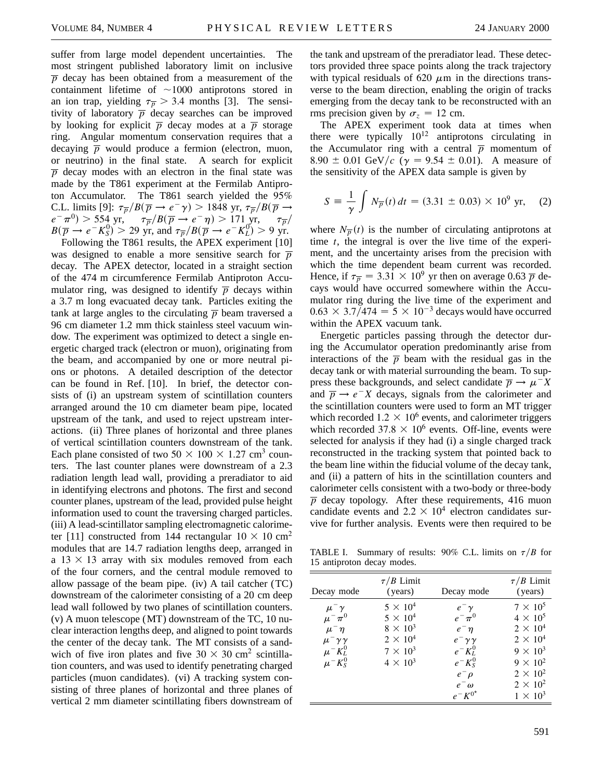suffer from large model dependent uncertainties. The most stringent published laboratory limit on inclusive  $\bar{p}$  decay has been obtained from a measurement of the containment lifetime of  $\sim$ 1000 antiprotons stored in an ion trap, yielding  $\tau_{\overline{p}} > 3.4$  months [3]. The sensitivity of laboratory  $\overline{p}$  decay searches can be improved by looking for explicit  $\overline{p}$  decay modes at a  $\overline{p}$  storage ring. Angular momentum conservation requires that a decaying  $\overline{p}$  would produce a fermion (electron, muon, or neutrino) in the final state. A search for explicit  $\overline{p}$  decay modes with an electron in the final state was made by the T861 experiment at the Fermilab Antiproton Accumulator. The T861 search yielded the 95% C.L. limits [9]:  $\tau_{\overline{p}}/B(\overline{p} \to e^- \gamma) > 1848 \text{ yr}, \tau_{\overline{p}}/B(\overline{p} \to e^- \gamma)$  $e^{-\frac{\pi}{4}}\pi$ <sup>0</sup>) > 554 yr,  $\frac{\pi}{p}/B(\overline{p} \rightarrow e^{-\frac{\pi}{4}})$  > 171 yr,  $\frac{\pi}{p}$  $B(\overline{p} \to e^{-}K_{S}^{0}) > 29$  yr, and  $\tau_{\overline{p}}/B(\overline{p} \to e^{-}K_{L}^{0}) > 9$  yr.

Following the T861 results, the APEX experiment [10] was designed to enable a more sensitive search for  $\overline{p}$ decay. The APEX detector, located in a straight section of the 474 m circumference Fermilab Antiproton Accumulator ring, was designed to identify  $\overline{p}$  decays within a 3.7 m long evacuated decay tank. Particles exiting the tank at large angles to the circulating  $\bar{p}$  beam traversed a 96 cm diameter 1.2 mm thick stainless steel vacuum window. The experiment was optimized to detect a single energetic charged track (electron or muon), originating from the beam, and accompanied by one or more neutral pions or photons. A detailed description of the detector can be found in Ref. [10]. In brief, the detector consists of (i) an upstream system of scintillation counters arranged around the 10 cm diameter beam pipe, located upstream of the tank, and used to reject upstream interactions. (ii) Three planes of horizontal and three planes of vertical scintillation counters downstream of the tank. Each plane consisted of two  $50 \times 100 \times 1.27$  cm<sup>3</sup> counters. The last counter planes were downstream of a 2.3 radiation length lead wall, providing a preradiator to aid in identifying electrons and photons. The first and second counter planes, upstream of the lead, provided pulse height information used to count the traversing charged particles. (iii) A lead-scintillator sampling electromagnetic calorimeter [11] constructed from 144 rectangular  $10 \times 10 \text{ cm}^2$ modules that are 14.7 radiation lengths deep, arranged in a  $13 \times 13$  array with six modules removed from each of the four corners, and the central module removed to allow passage of the beam pipe. (iv) A tail catcher (TC) downstream of the calorimeter consisting of a 20 cm deep lead wall followed by two planes of scintillation counters. (v) A muon telescope (MT) downstream of the TC, 10 nuclear interaction lengths deep, and aligned to point towards the center of the decay tank. The MT consists of a sandwich of five iron plates and five  $30 \times 30$  cm<sup>2</sup> scintillation counters, and was used to identify penetrating charged particles (muon candidates). (vi) A tracking system consisting of three planes of horizontal and three planes of vertical 2 mm diameter scintillating fibers downstream of the tank and upstream of the preradiator lead. These detectors provided three space points along the track trajectory with typical residuals of 620  $\mu$ m in the directions transverse to the beam direction, enabling the origin of tracks emerging from the decay tank to be reconstructed with an rms precision given by  $\sigma_z = 12$  cm.

The APEX experiment took data at times when there were typically  $10^{12}$  antiprotons circulating in the Accumulator ring with a central  $\overline{p}$  momentum of 8.90  $\pm$  0.01 GeV/c ( $\gamma$  = 9.54  $\pm$  0.01). A measure of the sensitivity of the APEX data sample is given by

$$
S = \frac{1}{\gamma} \int N_{\overline{p}}(t) dt = (3.31 \pm 0.03) \times 10^9 \text{ yr}, \quad (2)
$$

where  $N_{\overline{p}}(t)$  is the number of circulating antiprotons at time *t*, the integral is over the live time of the experiment, and the uncertainty arises from the precision with which the time dependent beam current was recorded. Hence, if  $\tau_{\overline{p}} = 3.31 \times 10^9$  yr then on average 0.63  $\overline{p}$  decays would have occurred somewhere within the Accumulator ring during the live time of the experiment and  $0.63 \times 3.7/474 = 5 \times 10^{-3}$  decays would have occurred within the APEX vacuum tank.

Energetic particles passing through the detector during the Accumulator operation predominantly arise from interactions of the  $\overline{p}$  beam with the residual gas in the decay tank or with material surrounding the beam. To suppress these backgrounds, and select candidate  $\overline{p} \rightarrow \mu^{-} X$ and  $\overline{p} \rightarrow e^{-}X$  decays, signals from the calorimeter and the scintillation counters were used to form an MT trigger which recorded  $1.2 \times 10^6$  events, and calorimeter triggers which recorded  $37.8 \times 10^6$  events. Off-line, events were selected for analysis if they had (i) a single charged track reconstructed in the tracking system that pointed back to the beam line within the fiducial volume of the decay tank, and (ii) a pattern of hits in the scintillation counters and calorimeter cells consistent with a two-body or three-body  $\overline{p}$  decay topology. After these requirements, 416 muon candidate events and  $2.2 \times 10^4$  electron candidates survive for further analysis. Events were then required to be

TABLE I. Summary of results: 90% C.L. limits on  $\tau/B$  for 15 antiproton decay modes.

| Decay mode                                                                                                                                          | $\tau/B$ Limit<br>(years)                                                                                      | Decay mode                                                                                                                                | $\tau/B$ Limit<br>(years)                                                                                                                                               |
|-----------------------------------------------------------------------------------------------------------------------------------------------------|----------------------------------------------------------------------------------------------------------------|-------------------------------------------------------------------------------------------------------------------------------------------|-------------------------------------------------------------------------------------------------------------------------------------------------------------------------|
| $\mu^-\gamma$<br>$\mu^-\pi^0$<br>$\mu^-\eta$<br>$\mu^-\gamma\gamma$<br>$\mu$ <sup>-</sup> $K_L^0$<br>$\mu$ <sup>-</sup> K <sub>S</sub> <sup>0</sup> | $5 \times 10^4$<br>$5 \times 10^4$<br>$8 \times 10^3$<br>$2 \times 10^4$<br>$7 \times 10^3$<br>$4 \times 10^3$ | $e^-\gamma$<br>$e^{-} \pi^{0}$<br>$e^-\eta$<br>$e^-\gamma\gamma$<br>$e^- K_L^0$<br>$e^-K^0_S$<br>$e^ \rho$<br>$e^-\omega$<br>$e^-K^{0^*}$ | $7 \times 10^5$<br>$4 \times 10^5$<br>$2 \times 10^4$<br>$2 \times 10^4$<br>$9 \times 10^3$<br>$9 \times 10^2$<br>$2 \times 10^2$<br>$2 \times 10^2$<br>$1 \times 10^3$ |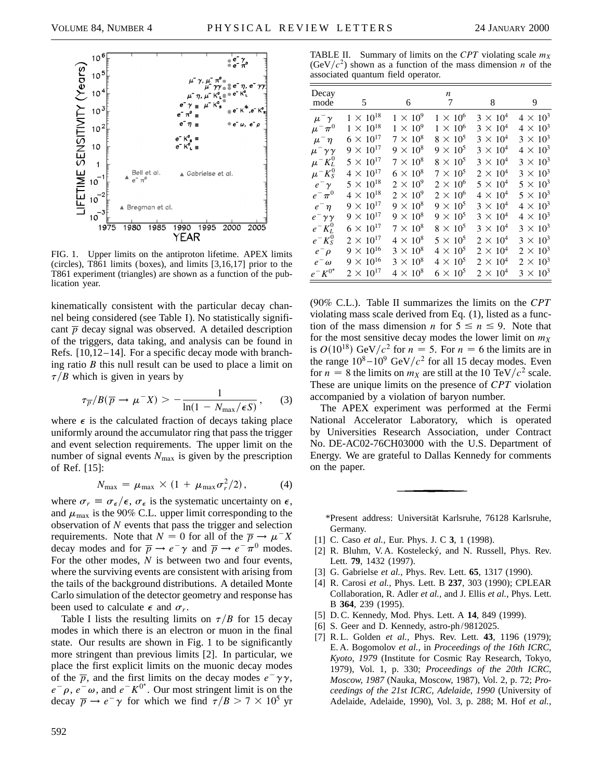

FIG. 1. Upper limits on the antiproton lifetime. APEX limits (circles), T861 limits (boxes), and limits [3,16,17] prior to the T861 experiment (triangles) are shown as a function of the publication year.

kinematically consistent with the particular decay channel being considered (see Table I). No statistically significant  $\bar{p}$  decay signal was observed. A detailed description of the triggers, data taking, and analysis can be found in Refs. [10,12–14]. For a specific decay mode with branching ratio *B* this null result can be used to place a limit on  $\tau/B$  which is given in years by

$$
\tau_{\overline{p}}/B(\overline{p} \to \mu^- X) > -\frac{1}{\ln(1 - N_{\max}/\epsilon S)},\qquad(3)
$$

where  $\epsilon$  is the calculated fraction of decays taking place uniformly around the accumulator ring that pass the trigger and event selection requirements. The upper limit on the number of signal events  $N_{\text{max}}$  is given by the prescription of Ref. [15]:

$$
N_{\text{max}} = \mu_{\text{max}} \times (1 + \mu_{\text{max}} \sigma_r^2 / 2), \qquad (4)
$$

where  $\sigma_r \equiv \sigma_{\epsilon}/\epsilon$ ,  $\sigma_{\epsilon}$  is the systematic uncertainty on  $\epsilon$ , and  $\mu_{\text{max}}$  is the 90% C.L. upper limit corresponding to the observation of *N* events that pass the trigger and selection requirements. Note that  $N = 0$  for all of the  $\overline{p} \rightarrow \mu^{-} X$ decay modes and for  $\overline{p} \rightarrow e^- \gamma$  and  $\overline{p} \rightarrow e^- \pi^0$  modes. For the other modes, *N* is between two and four events, where the surviving events are consistent with arising from the tails of the background distributions. A detailed Monte Carlo simulation of the detector geometry and response has been used to calculate  $\epsilon$  and  $\sigma_r$ .

Table I lists the resulting limits on  $\tau/B$  for 15 decay modes in which there is an electron or muon in the final state. Our results are shown in Fig. 1 to be significantly more stringent than previous limits [2]. In particular, we place the first explicit limits on the muonic decay modes of the  $\overline{p}$ , and the first limits on the decay modes  $e^{-\gamma \gamma}$ ,  $e^- \rho$ ,  $e^- \omega$ , and  $e^- K^{0^*}$ . Our most stringent limit is on the decay  $\overline{p} \rightarrow e^- \gamma$  for which we find  $\tau/B > 7 \times 10^5$  yr

592

TABLE II. Summary of limits on the *CPT* violating scale  $m<sub>x</sub>$  $(GeV/c<sup>2</sup>)$  shown as a function of the mass dimension *n* of the associated quantum field operator.

| Decay<br>mode        | 5                  | 6               | n<br>7          | 8                 | 9               |
|----------------------|--------------------|-----------------|-----------------|-------------------|-----------------|
| $\mu^-\gamma$        | $1 \times 10^{18}$ | $1 \times 10^9$ | $1 \times 10^6$ | $3 \times 10^{4}$ | $4 \times 10^3$ |
| $\mu^-\pi^0$         | $1 \times 10^{18}$ | $1 \times 10^9$ | $1 \times 10^6$ | $3 \times 10^{4}$ | $4 \times 10^3$ |
| $\mu^-\eta$          | $6 \times 10^{17}$ | $7 \times 10^8$ | $8 \times 10^5$ | $3 \times 10^4$   | $3 \times 10^3$ |
| $\mu^-\gamma\gamma$  | $9 \times 10^{17}$ | $9 \times 10^8$ | $9 \times 10^5$ | $3 \times 10^4$   | $4 \times 10^3$ |
| $\mu^-K_L^0$         | $5 \times 10^{17}$ | $7 \times 10^8$ | $8 \times 10^5$ | $3 \times 10^{4}$ | $3 \times 10^3$ |
| $\mu^-K^0_S$         | $4 \times 10^{17}$ | $6 \times 10^8$ | $7 \times 10^5$ | $2 \times 10^4$   | $3 \times 10^3$ |
| $e^ \gamma$          | $5 \times 10^{18}$ | $2 \times 10^9$ | $2 \times 10^6$ | $5 \times 10^4$   | $5 \times 10^3$ |
| $e^-\pi^0$           | $4 \times 10^{18}$ | $2 \times 10^9$ | $2 \times 10^6$ | $4 \times 10^4$   | $5 \times 10^3$ |
| $e^-\eta$            | $9 \times 10^{17}$ | $9 \times 10^8$ | $9 \times 10^5$ | $3 \times 10^4$   | $4 \times 10^3$ |
| $e^{-\gamma \gamma}$ | $9 \times 10^{17}$ | $9 \times 10^8$ | $9 \times 10^5$ | $3 \times 10^4$   | $4 \times 10^3$ |
| $e^-K_L^0$           | $6 \times 10^{17}$ | $7 \times 10^8$ | $8 \times 10^5$ | $3 \times 10^4$   | $3 \times 10^3$ |
| $e^-K^0_S$           | $2 \times 10^{17}$ | $4 \times 10^8$ | $5 \times 10^5$ | $2 \times 10^{4}$ | $3 \times 10^3$ |
| $e^ \rho$            | $9 \times 10^{16}$ | $3 \times 10^8$ | $4 \times 10^5$ | $2 \times 10^4$   | $2 \times 10^3$ |
| $e^-\omega$          | $9 \times 10^{16}$ | $3 \times 10^8$ | $4 \times 10^5$ | $2 \times 10^4$   | $2 \times 10^3$ |
| $e^-K^{0^*}$         | $2 \times 10^{17}$ | $4 \times 10^8$ | $6 \times 10^5$ | $2 \times 10^4$   | $3 \times 10^3$ |

(90% C.L.). Table II summarizes the limits on the *CPT* violating mass scale derived from Eq. (1), listed as a function of the mass dimension *n* for  $5 \le n \le 9$ . Note that for the most sensitive decay modes the lower limit on  $m_X$ is  $O(10^{18})$  GeV/ $c^2$  for  $n = 5$ . For  $n = 6$  the limits are in the range  $10^8 - 10^9$  GeV/ $c^2$  for all 15 decay modes. Even for  $n = 8$  the limits on  $m<sub>X</sub>$  are still at the 10 TeV/ $c<sup>2</sup>$  scale. These are unique limits on the presence of *CPT* violation accompanied by a violation of baryon number.

The APEX experiment was performed at the Fermi National Accelerator Laboratory, which is operated by Universities Research Association, under Contract No. DE-AC02-76CH03000 with the U.S. Department of Energy. We are grateful to Dallas Kennedy for comments on the paper.

\*Present address: Universität Karlsruhe, 76128 Karlsruhe, Germany.

- [1] C. Caso *et al.,* Eur. Phys. J. C **3**, 1 (1998).
- [2] R. Bluhm, V. A. Kostelecký, and N. Russell, Phys. Rev. Lett. **79**, 1432 (1997).
- [3] G. Gabrielse *et al.,* Phys. Rev. Lett. **65**, 1317 (1990).
- [4] R. Carosi *et al.,* Phys. Lett. B **237**, 303 (1990); CPLEAR Collaboration, R. Adler *et al.,* and J. Ellis *et al.,* Phys. Lett. B **364**, 239 (1995).
- [5] D. C. Kennedy, Mod. Phys. Lett. A **14**, 849 (1999).
- [6] S. Geer and D. Kennedy, astro-ph/9812025.
- [7] R. L. Golden *et al.,* Phys. Rev. Lett. **43**, 1196 (1979); E. A. Bogomolov *et al.,* in *Proceedings of the 16th ICRC, Kyoto, 1979* (Institute for Cosmic Ray Research, Tokyo, 1979), Vol. 1, p. 330; *Proceedings of the 20th ICRC, Moscow, 1987* (Nauka, Moscow, 1987), Vol. 2, p. 72; *Proceedings of the 21st ICRC, Adelaide, 1990* (University of Adelaide, Adelaide, 1990), Vol. 3, p. 288; M. Hof *et al.,*